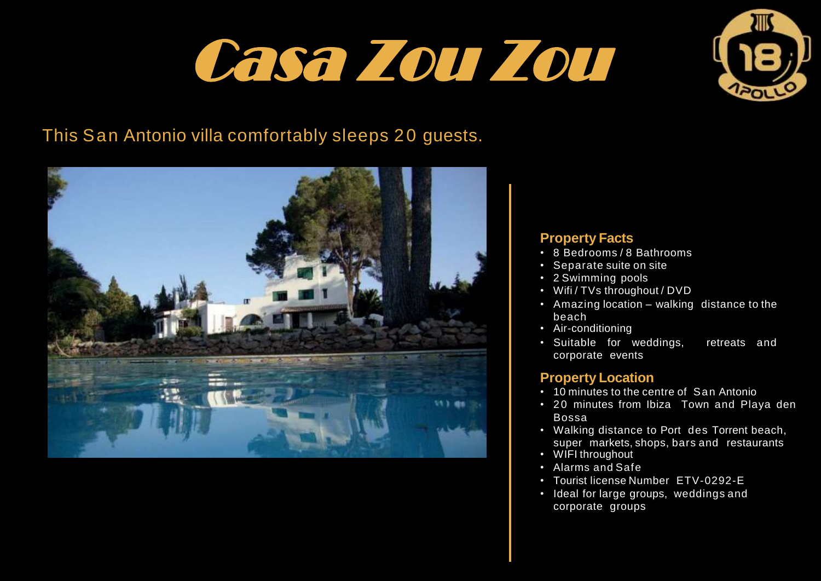# Casa Zou Zou



# This San Antonio villa comfortably sleeps 20 guests.



#### **Property Facts**

- 8 Bedrooms / 8 Bathrooms
- Separate suite on site
- 2 Swimming pools
- Wifi / TVs throughout / DVD
- Amazing location walking distance to the beach
- Air-conditioning
- Suitable for weddings, retreats and corporate events

### **Property Location**

- 10 minutes to the centre of San Antonio
- 20 minutes from Ibiza Town and Playa den Bossa
- Walking distance to Port des Torrent beach, super markets, shops, bars and restaurants
- WIFI throughout
- Alarms and Safe
- Tourist license Number ETV-0292-E
- Ideal for large groups, weddings and corporate groups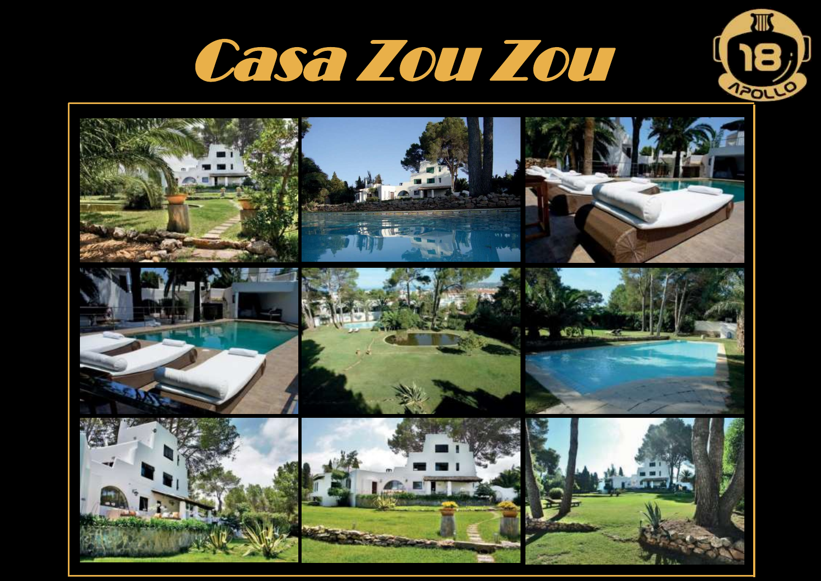



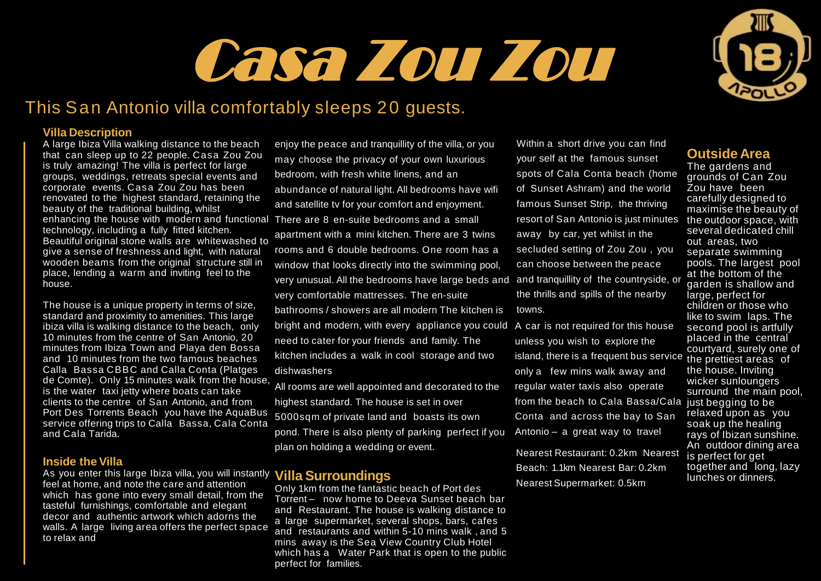# Casa Zou Zou

## This San Antonio villa comfortably sleeps 20 guests.

#### **Villa Description**

A large Ibiza Villa walking distance to the beach that can sleep up to 22 people. Casa Zou Zou is truly amazing! The villa is perfect for large groups, weddings, retreats special events and corporate events. Casa Zou Zou has been renovated to the highest standard, retaining the beauty of the traditional building, whilst enhancing the house with modern and functional There are 8 en-suite bedrooms and a small technology, including a fully fitted kitchen. Beautiful original stone walls are whitewashed to give a sense of freshness and light, with natural wooden beams from the original structure still in place, lending a warm and inviting feel to the house.

The house is a unique property in terms of size, standard and proximity to amenities. This large ibiza villa is walking distance to the beach, only 10 minutes from the centre of San Antonio, 20 minutes from Ibiza Town and Playa den Bossa and 10 minutes from the two famous beaches Calla Bassa CBBC and Calla Conta (Platges de Comte). Only 15 minutes walk from the house, is the water taxi jetty where boats can take clients to the centre of San Antonio, and from Port Des Torrents Beach you have the AquaBus service offering trips to Calla Bassa, Cala Conta and Cala Tarida.

#### **Inside the Villa**

As you enter this large Ibiza villa, you will instantly **Villa Surroundings** feel at home, and note the care and attention which has gone into every small detail, from the tasteful furnishings, comfortable and elegant decor and authentic artwork which adorns the walls. A large living area offers the perfect space to relax and

enjoy the peace and tranquillity of the villa, or you may choose the privacy of your own luxurious bedroom, with fresh white linens, and an abundance of natural light. All bedrooms have wifi and satellite tv for your comfort and enjoyment. apartment with a mini kitchen. There are 3 twins rooms and 6 double bedrooms. One room has a window that looks directly into the swimming pool, very unusual. All the bedrooms have large beds and and tranquillity of the countryside, or very comfortable mattresses. The en-suite bathrooms / showers are all modern The kitchen is bright and modern, with every appliance you could A car is not required for this house need to cater for your friends and family. The kitchen includes a walk in cool storage and two dishwashers

All rooms are well appointed and decorated to the highest standard. The house is set in over 5000sqm of private land and boasts its own pond. There is also plenty of parking perfect if you plan on holding a wedding or event.

Only 1km from the fantastic beach of Port des Torrent – now home to Deeva Sunset beach bar and Restaurant. The house is walking distance to a large supermarket, several shops, bars, cafes and restaurants and within 5-10 mins walk , and 5 mins away is the Sea View Country Club Hotel which has a Water Park that is open to the public perfect for families.

Within a short drive you can find your self at the famous sunset spots of Cala Conta beach (home of Sunset Ashram) and the world famous Sunset Strip, the thriving resort of San Antonio is just minutes away by car, yet whilst in the secluded setting of Zou Zou , you can choose between the peace the thrills and spills of the nearby towns.

unless you wish to explore the island, there is a frequent bus service only a few mins walk away and regular water taxis also operate from the beach to Cala Bassa/Cala Conta and across the bay to San Antonio – a great way to travel

Nearest Restaurant: 0.2km Nearest Beach: 1.1km Nearest Bar: 0.2km Nearest Supermarket: 0.5km

#### **Outside Area**

The gardens and grounds of Can Zou Zou have been carefully designed to maximise the beauty of the outdoor space, with several dedicated chill out areas, two separate swimming pools. The largest pool at the bottom of the garden is shallow and large, perfect for children or those who like to swim laps. The second pool is artfully placed in the central courtyard, surely one of the prettiest areas of the house. Inviting wicker sunloungers surround the main pool, just begging to be relaxed upon as you soak up the healing rays of Ibizan sunshine. An outdoor dining area is perfect for get together and long, lazy lunches or dinners.

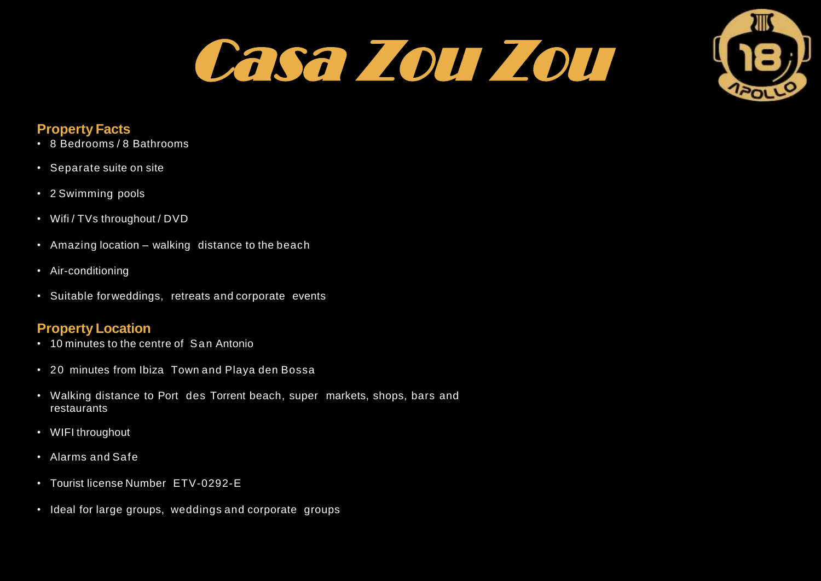



#### **Property Facts**

- 8 Bedrooms / 8 Bathrooms
- Separate suite on site
- 2 Swimming pools
- Wifi / TVs throughout / DVD
- Amazing location walking distance to the beach
- Air-conditioning
- Suitable forweddings, retreats and corporate events

### **Property Location**

- 10 minutes to the centre of San Antonio
- 20 minutes from Ibiza Town and Playa den Bossa
- Walking distance to Port des Torrent beach, super markets, shops, bars and restaurants
- WIFI throughout
- Alarms and Safe
- Tourist license Number ETV-0292-E
- Ideal for large groups, weddings and corporate groups